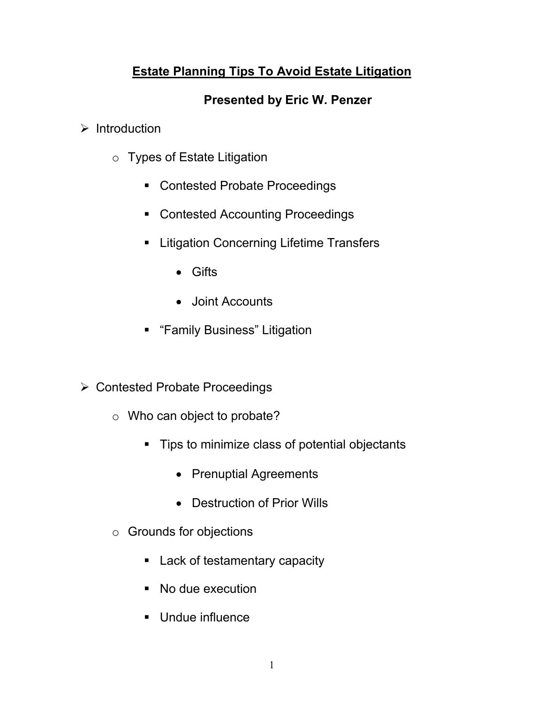## **Estate Planning Tips To Avoid Estate Litigation**

## **Presented by Eric W. Penzer**

- $\triangleright$  Introduction
	- o Types of Estate Litigation
		- Contested Probate Proceedings
		- Contested Accounting Proceedings
		- **EXEC** Litigation Concerning Lifetime Transfers
			- Gifts
			- Joint Accounts
		- **E** "Family Business" Litigation
- **≻ Contested Probate Proceedings** 
	- o Who can object to probate?
		- Tips to minimize class of potential objectants
			- Prenuptial Agreements
			- Destruction of Prior Wills
	- o Grounds for objections
		- **Lack of testamentary capacity**
		- No due execution
		- Undue influence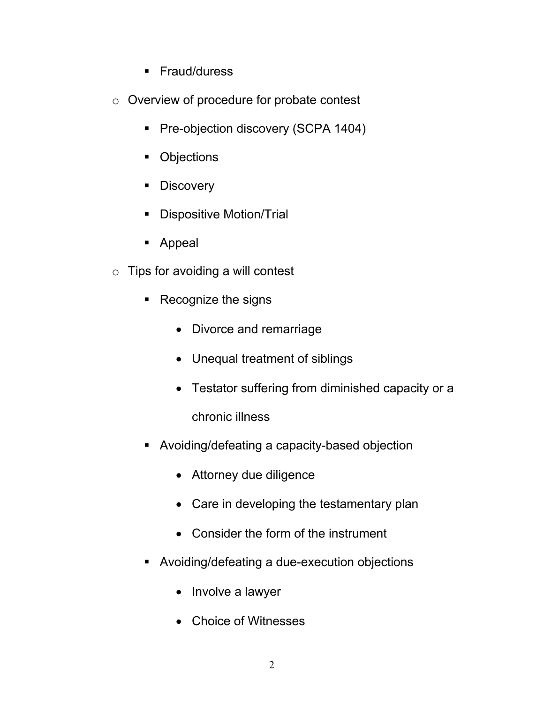- **Fraud/duress**
- o Overview of procedure for probate contest
	- Pre-objection discovery (SCPA 1404)
	- Objections
	- **Discovery**
	- **-** Dispositive Motion/Trial
	- **Appeal**
- $\circ$  Tips for avoiding a will contest
	- Recognize the signs
		- Divorce and remarriage
		- Unequal treatment of siblings
		- Testator suffering from diminished capacity or a

chronic illness

- Avoiding/defeating a capacity-based objection
	- Attorney due diligence
	- Care in developing the testamentary plan
	- Consider the form of the instrument
- Avoiding/defeating a due-execution objections
	- Involve a lawyer
	- Choice of Witnesses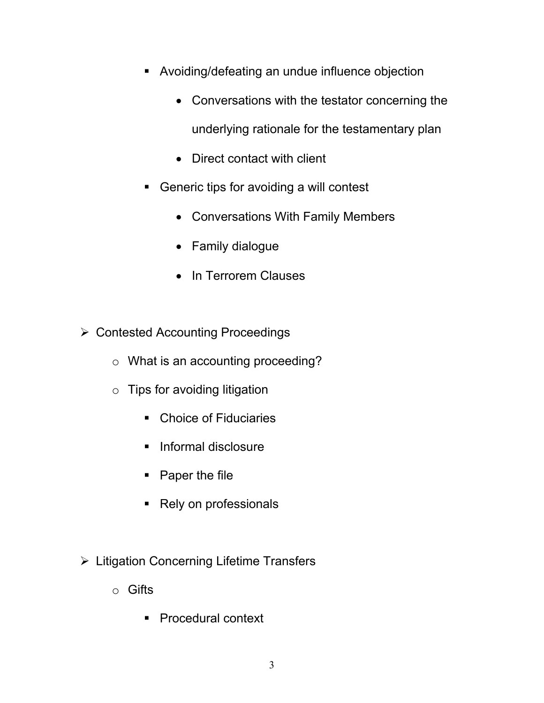- Avoiding/defeating an undue influence objection
	- Conversations with the testator concerning the underlying rationale for the testamentary plan
	- Direct contact with client
- Generic tips for avoiding a will contest
	- Conversations With Family Members
	- Family dialogue
	- In Terrorem Clauses
- $\triangleright$  Contested Accounting Proceedings
	- o What is an accounting proceeding?
	- $\circ$  Tips for avoiding litigation
		- Choice of Fiduciaries
		- **Informal disclosure**
		- Paper the file
		- Rely on professionals
- $\triangleright$  Litigation Concerning Lifetime Transfers
	- o Gifts
		- **Procedural context**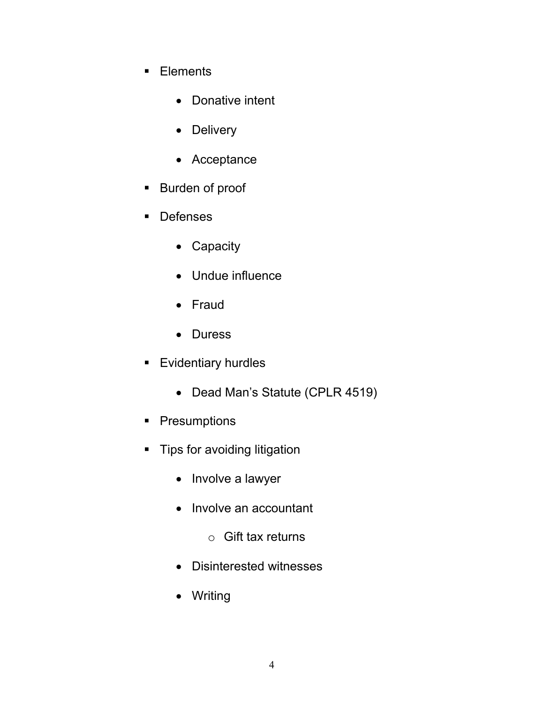- **Elements** 
	- Donative intent
	- Delivery
	- Acceptance
- **Burden of proof**
- **Defenses** 
	- Capacity
	- Undue influence
	- Fraud
	- Duress
- **Evidentiary hurdles** 
	- Dead Man's Statute (CPLR 4519)
- **•** Presumptions
- Tips for avoiding litigation
	- Involve a lawyer
	- Involve an accountant
		- o Gift tax returns
	- Disinterested witnesses
	- Writing